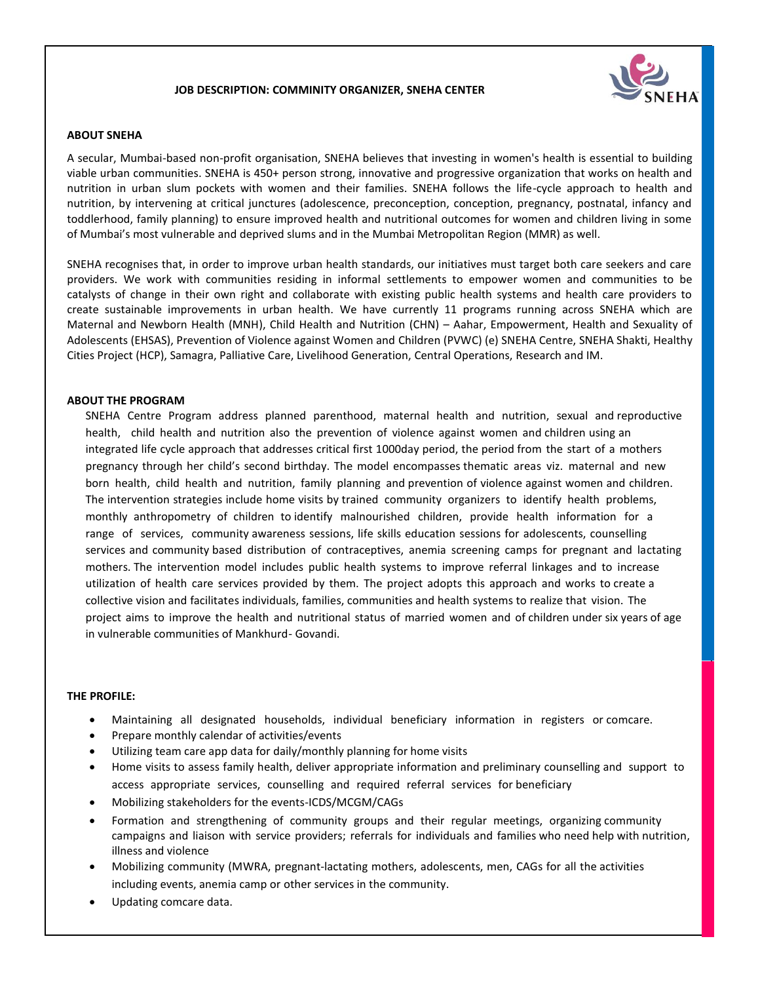## **JOB DESCRIPTION: COMMINITY ORGANIZER, SNEHA CENTER**



## **ABOUT SNEHA**

A secular, Mumbai-based non-profit organisation, SNEHA believes that investing in women's health is essential to building viable urban communities. SNEHA is 450+ person strong, innovative and progressive organization that works on health and nutrition in urban slum pockets with women and their families. SNEHA follows the life-cycle approach to health and nutrition, by intervening at critical junctures (adolescence, preconception, conception, pregnancy, postnatal, infancy and toddlerhood, family planning) to ensure improved health and nutritional outcomes for women and children living in some of Mumbai's most vulnerable and deprived slums and in the Mumbai Metropolitan Region (MMR) as well.

SNEHA recognises that, in order to improve urban health standards, our initiatives must target both care seekers and care providers. We work with communities residing in informal settlements to empower women and communities to be catalysts of change in their own right and collaborate with existing public health systems and health care providers to create sustainable improvements in urban health. We have currently 11 programs running across SNEHA which are Maternal and Newborn Health (MNH), Child Health and Nutrition (CHN) – Aahar, Empowerment, Health and Sexuality of Adolescents (EHSAS), Prevention of Violence against Women and Children (PVWC) (e) SNEHA Centre, SNEHA Shakti, Healthy Cities Project (HCP), Samagra, Palliative Care, Livelihood Generation, Central Operations, Research and IM.

#### **ABOUT THE PROGRAM**

SNEHA Centre Program address planned parenthood, maternal health and nutrition, sexual and reproductive health, child health and nutrition also the prevention of violence against women and children using an integrated life cycle approach that addresses critical first 1000day period, the period from the start of a mothers pregnancy through her child's second birthday. The model encompasses thematic areas viz. maternal and new born health, child health and nutrition, family planning and prevention of violence against women and children. The intervention strategies include home visits by trained community organizers to identify health problems, monthly anthropometry of children to identify malnourished children, provide health information for a range of services, community awareness sessions, life skills education sessions for adolescents, counselling services and community based distribution of contraceptives, anemia screening camps for pregnant and lactating mothers. The intervention model includes public health systems to improve referral linkages and to increase utilization of health care services provided by them. The project adopts this approach and works to create a collective vision and facilitates individuals, families, communities and health systems to realize that vision. The project aims to improve the health and nutritional status of married women and of children under six years of age in vulnerable communities of Mankhurd- Govandi.

## **THE PROFILE:**

- Maintaining all designated households, individual beneficiary information in registers or comcare.
- Prepare monthly calendar of activities/events
- Utilizing team care app data for daily/monthly planning for home visits
- Home visits to assess family health, deliver appropriate information and preliminary counselling and support to access appropriate services, counselling and required referral services for beneficiary
- Mobilizing stakeholders for the events-ICDS/MCGM/CAGs
- Formation and strengthening of community groups and their regular meetings, organizing community campaigns and liaison with service providers; referrals for individuals and families who need help with nutrition, illness and violence
- Mobilizing community (MWRA, pregnant-lactating mothers, adolescents, men, CAGs for all the activities including events, anemia camp or other services in the community.
- Updating comcare data.